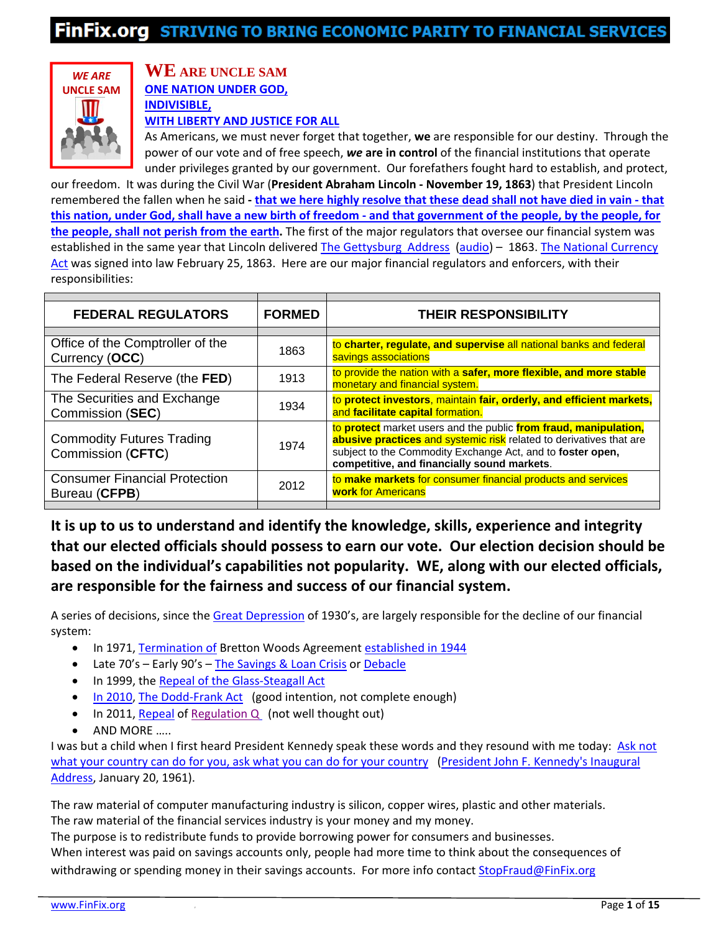

### **WE ARE UNCLE SAM ONE NATION UNDER GOD, INDIVISIBLE, WITH LIBERTY AND JUSTICE FOR ALL**

As Americans, we must never forget that together, **we** are responsible for our destiny. Through the power of our vote and of free speech, *we* **are in control** of the financial institutions that operate under privileges granted by our government. Our forefathers fought hard to establish, and protect,

our freedom. It was during the Civil War (**President Abraham Lincoln ‐ November 19, 1863**) that President Lincoln remembered the fallen when he said - that we here highly resolve that these dead shall not have died in vain - that this nation, under God, shall have a new birth of freedom - and that government of the people, by the people, for **the people, shall not perish from the earth.** The first of the major regulators that oversee our financial system was established in the same year that Lincoln delivered The Gettysburg Address (audio) – 1863. The National Currency Act was signed into law February 25, 1863. Here are our major financial regulators and enforcers, with their responsibilities:

| <b>FEDERAL REGULATORS</b>                             | <b>FORMED</b> | <b>THEIR RESPONSIBILITY</b>                                                                                                                                                                                                                          |
|-------------------------------------------------------|---------------|------------------------------------------------------------------------------------------------------------------------------------------------------------------------------------------------------------------------------------------------------|
|                                                       |               |                                                                                                                                                                                                                                                      |
| Office of the Comptroller of the<br>Currency (OCC)    | 1863          | to charter, regulate, and supervise all national banks and federal<br>savings associations                                                                                                                                                           |
| The Federal Reserve (the FED)                         | 1913          | to provide the nation with a safer, more flexible, and more stable<br>monetary and financial system.                                                                                                                                                 |
| The Securities and Exchange<br>Commission (SEC)       | 1934          | to protect investors, maintain fair, orderly, and efficient markets,<br>and facilitate capital formation.                                                                                                                                            |
| <b>Commodity Futures Trading</b><br>Commission (CFTC) | 1974          | to protect market users and the public from fraud, manipulation,<br>abusive practices and systemic risk related to derivatives that are<br>subject to the Commodity Exchange Act, and to foster open,<br>competitive, and financially sound markets. |
| <b>Consumer Financial Protection</b><br>Bureau (CFPB) | 2012          | to make markets for consumer financial products and services<br><b>work</b> for Americans                                                                                                                                                            |
|                                                       |               |                                                                                                                                                                                                                                                      |

**It is up to us to understand and identify the knowledge, skills, experience and integrity that our elected officials should possess to earn our vote. Our election decision should be based on the individual's capabilities not popularity. WE, along with our elected officials, are responsible for the fairness and success of our financial system.**

A series of decisions, since the Great Depression of 1930's, are largely responsible for the decline of our financial system:

- In 1971, Termination of Bretton Woods Agreement established in 1944
- Late 70's Early 90's The Savings & Loan Crisis or Debacle
- In 1999, the Repeal of the Glass-Steagall Act
- In 2010, The Dodd-Frank Act (good intention, not complete enough)
- In 2011, Repeal of Regulation Q (not well thought out)
- AND MORE ……

I was but a child when I first heard President Kennedy speak these words and they resound with me today: Ask not what your country can do for you, ask what you can do for your country (President John F. Kennedy's Inaugural Address, January 20, 1961).

The raw material of computer manufacturing industry is silicon, copper wires, plastic and other materials. The raw material of the financial services industry is your money and my money.

The purpose is to redistribute funds to provide borrowing power for consumers and businesses. When interest was paid on savings accounts only, people had more time to think about the consequences of withdrawing or spending money in their savings accounts. For more info contact StopFraud@FinFix.org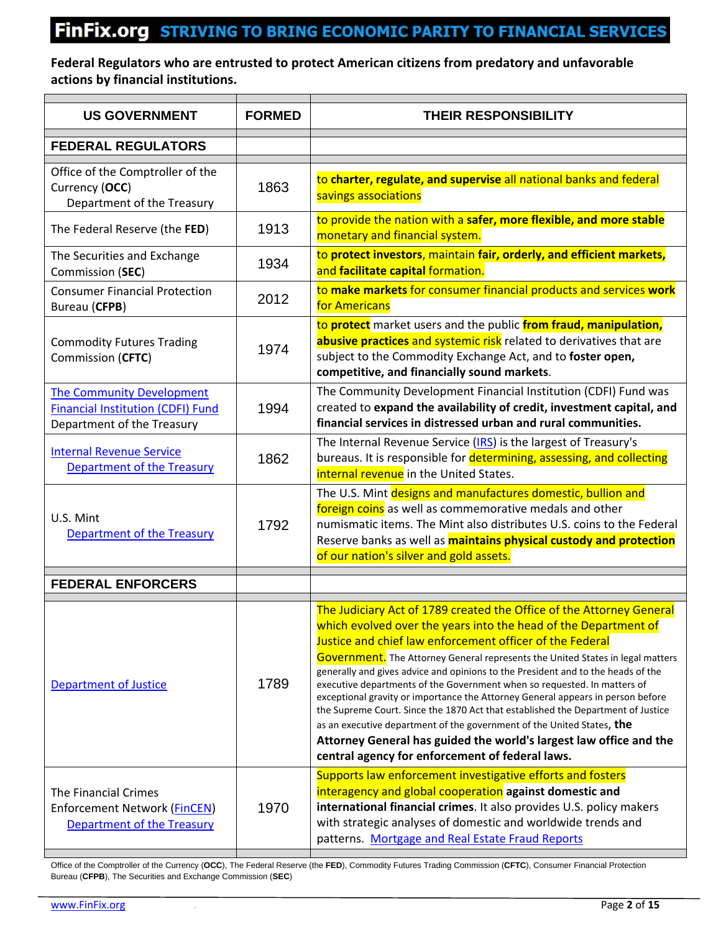## FINFIX.org STRIVING TO BRING ECONOMIC PARITY TO FINANCIAL SERVICES

#### **Federal Regulators who are entrusted to protect American citizens from predatory and unfavorable actions by financial institutions.**

| <b>US GOVERNMENT</b>                                                                                       | <b>FORMED</b> | <b>THEIR RESPONSIBILITY</b>                                                                                                                                                                                                                                                                                                                                                                                                                                                                                                                                                                                                                                                                                                                                                                                                     |
|------------------------------------------------------------------------------------------------------------|---------------|---------------------------------------------------------------------------------------------------------------------------------------------------------------------------------------------------------------------------------------------------------------------------------------------------------------------------------------------------------------------------------------------------------------------------------------------------------------------------------------------------------------------------------------------------------------------------------------------------------------------------------------------------------------------------------------------------------------------------------------------------------------------------------------------------------------------------------|
| <b>FEDERAL REGULATORS</b>                                                                                  |               |                                                                                                                                                                                                                                                                                                                                                                                                                                                                                                                                                                                                                                                                                                                                                                                                                                 |
| Office of the Comptroller of the<br>Currency (OCC)<br>Department of the Treasury                           | 1863          | to charter, regulate, and supervise all national banks and federal<br>savings associations                                                                                                                                                                                                                                                                                                                                                                                                                                                                                                                                                                                                                                                                                                                                      |
| The Federal Reserve (the FED)                                                                              | 1913          | to provide the nation with a safer, more flexible, and more stable<br>monetary and financial system.                                                                                                                                                                                                                                                                                                                                                                                                                                                                                                                                                                                                                                                                                                                            |
| The Securities and Exchange<br>Commission (SEC)                                                            | 1934          | to protect investors, maintain fair, orderly, and efficient markets,<br>and facilitate capital formation.                                                                                                                                                                                                                                                                                                                                                                                                                                                                                                                                                                                                                                                                                                                       |
| <b>Consumer Financial Protection</b><br>Bureau (CFPB)                                                      | 2012          | to make markets for consumer financial products and services work<br>for Americans                                                                                                                                                                                                                                                                                                                                                                                                                                                                                                                                                                                                                                                                                                                                              |
| <b>Commodity Futures Trading</b><br>Commission (CFTC)                                                      | 1974          | to protect market users and the public from fraud, manipulation,<br>abusive practices and systemic risk related to derivatives that are<br>subject to the Commodity Exchange Act, and to foster open,<br>competitive, and financially sound markets.                                                                                                                                                                                                                                                                                                                                                                                                                                                                                                                                                                            |
| <b>The Community Development</b><br><b>Financial Institution (CDFI) Fund</b><br>Department of the Treasury | 1994          | The Community Development Financial Institution (CDFI) Fund was<br>created to expand the availability of credit, investment capital, and<br>financial services in distressed urban and rural communities.                                                                                                                                                                                                                                                                                                                                                                                                                                                                                                                                                                                                                       |
| <b>Internal Revenue Service</b><br><b>Department of the Treasury</b>                                       | 1862          | The Internal Revenue Service (IRS) is the largest of Treasury's<br>bureaus. It is responsible for determining, assessing, and collecting<br>internal revenue in the United States.                                                                                                                                                                                                                                                                                                                                                                                                                                                                                                                                                                                                                                              |
| U.S. Mint<br>Department of the Treasury                                                                    | 1792          | The U.S. Mint designs and manufactures domestic, bullion and<br>foreign coins as well as commemorative medals and other<br>numismatic items. The Mint also distributes U.S. coins to the Federal<br>Reserve banks as well as <b>maintains physical custody and protection</b><br>of our nation's silver and gold assets.                                                                                                                                                                                                                                                                                                                                                                                                                                                                                                        |
| <b>FEDERAL ENFORCERS</b>                                                                                   |               |                                                                                                                                                                                                                                                                                                                                                                                                                                                                                                                                                                                                                                                                                                                                                                                                                                 |
| Department of Justice                                                                                      | 1789          | The Judiciary Act of 1789 created the Office of the Attorney General<br>which evolved over the years into the head of the Department of<br>Justice and chief law enforcement officer of the Federal<br>Government. The Attorney General represents the United States in legal matters<br>generally and gives advice and opinions to the President and to the heads of the<br>executive departments of the Government when so requested. In matters of<br>exceptional gravity or importance the Attorney General appears in person before<br>the Supreme Court. Since the 1870 Act that established the Department of Justice<br>as an executive department of the government of the United States, the<br>Attorney General has guided the world's largest law office and the<br>central agency for enforcement of federal laws. |
| The Financial Crimes<br>Enforcement Network (FinCEN)<br>Department of the Treasury                         | 1970          | Supports law enforcement investigative efforts and fosters<br>interagency and global cooperation against domestic and<br>international financial crimes. It also provides U.S. policy makers<br>with strategic analyses of domestic and worldwide trends and<br>patterns. Mortgage and Real Estate Fraud Reports                                                                                                                                                                                                                                                                                                                                                                                                                                                                                                                |

Office of the Comptroller of the Currency (**OCC**), The Federal Reserve (the **FED**), Commodity Futures Trading Commission (**CFTC**), Consumer Financial Protection Bureau (**CFPB**), The Securities and Exchange Commission (**SEC**)